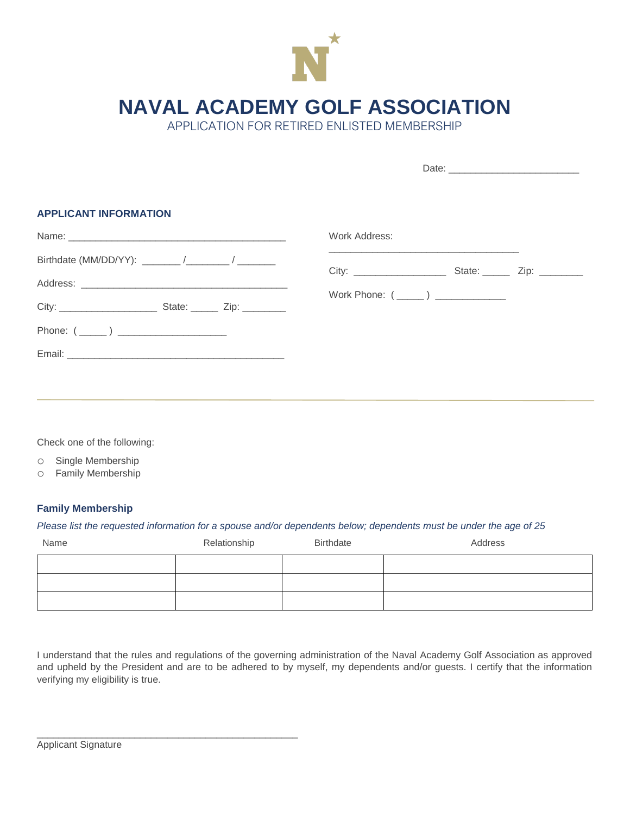

**NAVAL ACADEMY GOLF ASSOCIATION**

APPLICATION FOR RETIRED ENLISTED MEMBERSHIP

| <b>APPLICANT INFORMATION</b> |                                                                                                                                                                                                                               |  |  |  |
|------------------------------|-------------------------------------------------------------------------------------------------------------------------------------------------------------------------------------------------------------------------------|--|--|--|
|                              | Work Address:                                                                                                                                                                                                                 |  |  |  |
|                              | the control of the control of the control of the control of the control of the control of the control of the control of the control of the control of the control of the control of the control of the control of the control |  |  |  |
|                              |                                                                                                                                                                                                                               |  |  |  |
|                              | Work Phone: (______) _______________                                                                                                                                                                                          |  |  |  |
| Phone: $(\_\_)$              |                                                                                                                                                                                                                               |  |  |  |
|                              |                                                                                                                                                                                                                               |  |  |  |
|                              |                                                                                                                                                                                                                               |  |  |  |
|                              |                                                                                                                                                                                                                               |  |  |  |

Check one of the following:

o Single Membership

o Family Membership

## **Family Membership**

## *Please list the requested information for a spouse and/or dependents below; dependents must be under the age of 25*

| Name | Relationship | Birthdate | Address |
|------|--------------|-----------|---------|
|      |              |           |         |
|      |              |           |         |
|      |              |           |         |

I understand that the rules and regulations of the governing administration of the Naval Academy Golf Association as approved and upheld by the President and are to be adhered to by myself, my dependents and/or guests. I certify that the information verifying my eligibility is true.

\_\_\_\_\_\_\_\_\_\_\_\_\_\_\_\_\_\_\_\_\_\_\_\_\_\_\_\_\_\_\_\_\_\_\_\_\_\_\_\_\_\_\_\_\_\_\_\_